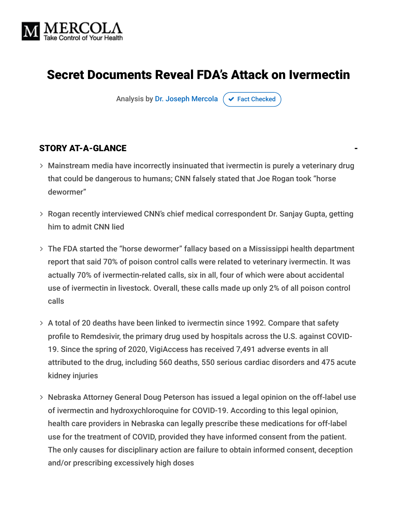

# Secret Documents Reveal FDA's Attack on Ivermectin

Analysis by [Dr. Joseph Mercola](https://www.mercola.com/forms/background.htm)  $\sigma$  [Fact Checked](javascript:void(0))

#### STORY AT-A-GLANCE

- Mainstream media have incorrectly insinuated that ivermectin is purely a veterinary drug that could be dangerous to humans; CNN falsely stated that Joe Rogan took "horse dewormer"
- Rogan recently interviewed CNN's chief medical correspondent Dr. Sanjay Gupta, getting him to admit CNN lied
- The FDA started the "horse dewormer" fallacy based on a Mississippi health department report that said 70% of poison control calls were related to veterinary ivermectin. It was actually 70% of ivermectin-related calls, six in all, four of which were about accidental use of ivermectin in livestock. Overall, these calls made up only 2% of all poison control calls
- A total of 20 deaths have been linked to ivermectin since 1992. Compare that safety profile to Remdesivir, the primary drug used by hospitals across the U.S. against COVID-19. Since the spring of 2020, VigiAccess has received 7,491 adverse events in all attributed to the drug, including 560 deaths, 550 serious cardiac disorders and 475 acute kidney injuries
- Nebraska Attorney General Doug Peterson has issued a legal opinion on the off-label use of ivermectin and hydroxychloroquine for COVID-19. According to this legal opinion, health care providers in Nebraska can legally prescribe these medications for off-label use for the treatment of COVID, provided they have informed consent from the patient. The only causes for disciplinary action are failure to obtain informed consent, deception and/or prescribing excessively high doses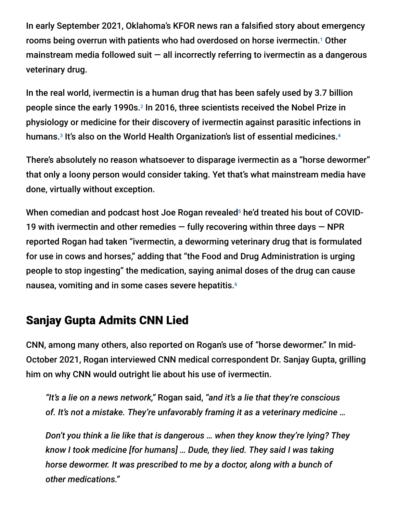In early September 2021, Oklahoma's KFOR news ran a falsified story about emergency rooms being overrun with patients who had overdosed on horse ivermectin.<sup>1</sup> Other mainstream media followed suit  $-$  all incorrectly referring to ivermectin as a dangerous veterinary drug.

In the real world, ivermectin is a human drug that has been safely used by 3.7 billion people since the early 1990s.<sup>2</sup> In 2016, three scientists received the Nobel Prize in physiology or medicine for their discovery of ivermectin against parasitic infections in humans.<sup>3</sup> It's also on the World Health Organization's list of essential medicines.<sup>4</sup>

There's absolutely no reason whatsoever to disparage ivermectin as a "horse dewormer" that only a loony person would consider taking. Yet that's what mainstream media have done, virtually without exception.

When comedian and podcast host Joe Rogan revealed<sup>5</sup> he'd treated his bout of COVID-19 with ivermectin and other remedies  $-$  fully recovering within three days  $-$  NPR reported Rogan had taken "ivermectin, a deworming veterinary drug that is formulated for use in cows and horses," adding that "the Food and Drug Administration is urging people to stop ingesting" the medication, saying animal doses of the drug can cause nausea, vomiting and in some cases severe hepatitis. 6

## Sanjay Gupta Admits CNN Lied

CNN, among many others, also reported on Rogan's use of "horse dewormer." In mid-October 2021, Rogan interviewed CNN medical correspondent Dr. Sanjay Gupta, grilling him on why CNN would outright lie about his use of ivermectin.

*"It's a lie on a news network,"* Rogan said, *"and it's a lie that they're conscious of. It's not a mistake. They're unfavorably framing it as a veterinary medicine …*

*Don't you think a lie like that is dangerous … when they know they're lying? They know I took medicine [for humans] … Dude, they lied. They said I was taking horse dewormer. It was prescribed to me by a doctor, along with a bunch of other medications."*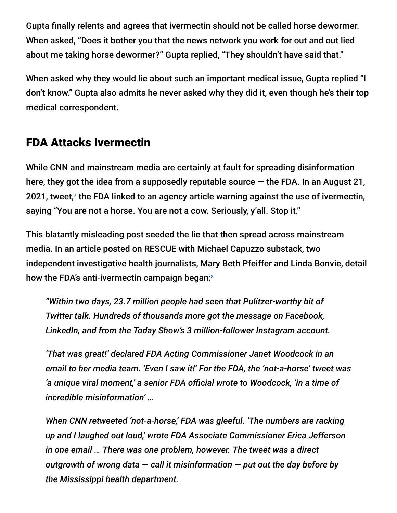Gupta finally relents and agrees that ivermectin should not be called horse dewormer. When asked, "Does it bother you that the news network you work for out and out lied about me taking horse dewormer?" Gupta replied, "They shouldn't have said that."

When asked why they would lie about such an important medical issue, Gupta replied "I don't know." Gupta also admits he never asked why they did it, even though he's their top medical correspondent.

## FDA Attacks Ivermectin

While CNN and mainstream media are certainly at fault for spreading disinformation here, they got the idea from a supposedly reputable source  $-$  the FDA. In an August 21, 2021, tweet, $7$  the FDA linked to an agency article warning against the use of ivermectin, saying "You are not a horse. You are not a cow. Seriously, y'all. Stop it."

This blatantly misleading post seeded the lie that then spread across mainstream media. In an article posted on RESCUE with Michael Capuzzo substack, two independent investigative health journalists, Mary Beth Pfeiffer and Linda Bonvie, detail how the FDA's anti-ivermectin campaign began:<sup>8</sup>

*"Within two days, 23.7 million people had seen that Pulitzer-worthy bit of Twitter talk. Hundreds of thousands more got the message on Facebook, LinkedIn, and from the Today Show's 3 million-follower Instagram account.*

*'That was great!' declared FDA Acting Commissioner Janet Woodcock in an email to her media team. 'Even I saw it!' For the FDA, the 'not-a-horse' tweet was 'a unique viral moment,' a senior FDA official wrote to Woodcock, 'in a time of incredible misinformation' …*

*When CNN retweeted 'not-a-horse,' FDA was gleeful. 'The numbers are racking up and I laughed out loud,' wrote FDA Associate Commissioner Erica Jefferson in one email … There was one problem, however. The tweet was a direct outgrowth of wrong data — call it misinformation — put out the day before by the Mississippi health department.*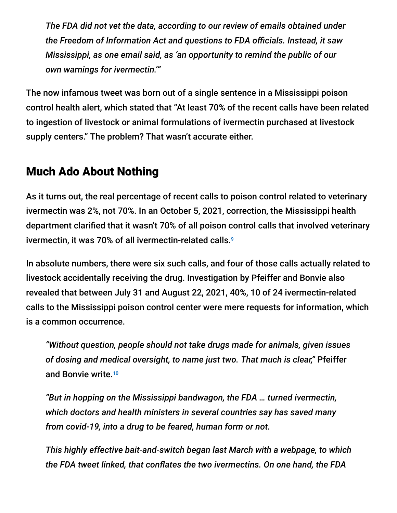*The FDA did not vet the data, according to our review of emails obtained under the Freedom of Information Act and questions to FDA officials. Instead, it saw Mississippi, as one email said, as 'an opportunity to remind the public of our own warnings for ivermectin.'"*

The now infamous tweet was born out of a single sentence in a Mississippi poison control health alert, which stated that "At least 70% of the recent calls have been related to ingestion of livestock or animal formulations of ivermectin purchased at livestock supply centers." The problem? That wasn't accurate either.

## Much Ado About Nothing

As it turns out, the real percentage of recent calls to poison control related to veterinary ivermectin was 2%, not 70%. In an October 5, 2021, correction, the Mississippi health department clarified that it wasn't 70% of all poison control calls that involved veterinary ivermectin, it was 70% of all ivermectin-related calls. 9

In absolute numbers, there were six such calls, and four of those calls actually related to livestock accidentally receiving the drug. Investigation by Pfeiffer and Bonvie also revealed that between July 31 and August 22, 2021, 40%, 10 of 24 ivermectin-related calls to the Mississippi poison control center were mere requests for information, which is a common occurrence.

*"Without question, people should not take drugs made for animals, given issues of dosing and medical oversight, to name just two. That much is clear,"* Pfeiffer and Bonvie write. 10

*"But in hopping on the Mississippi bandwagon, the FDA … turned ivermectin, which doctors and health ministers in several countries say has saved many from covid-19, into a drug to be feared, human form or not.*

*This highly effective bait-and-switch began last March with a webpage, to which the FDA tweet linked, that conflates the two ivermectins. On one hand, the FDA*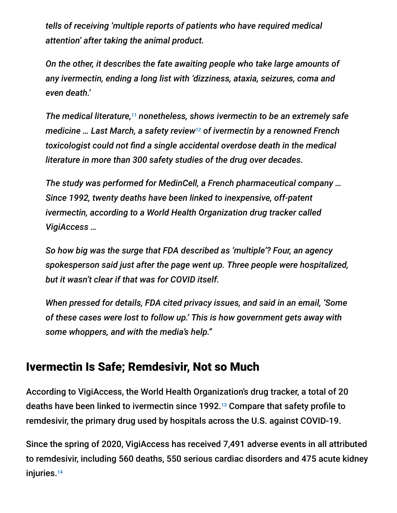*tells of receiving 'multiple reports of patients who have required medical attention' after taking the animal product.*

*On the other, it describes the fate awaiting people who take large amounts of any ivermectin, ending a long list with 'dizziness, ataxia, seizures, coma and even death.'*

The medical literature,<sup>11</sup> nonetheless, shows ivermectin to be an extremely safe medicine … Last March, a safety review<sup>12</sup> of ivermectin by a renowned French *toxicologist could not find a single accidental overdose death in the medical literature in more than 300 safety studies of the drug over decades.*

*The study was performed for MedinCell, a French pharmaceutical company … Since 1992, twenty deaths have been linked to inexpensive, off-patent ivermectin, according to a World Health Organization drug tracker called VigiAccess …*

*So how big was the surge that FDA described as 'multiple'? Four, an agency spokesperson said just after the page went up. Three people were hospitalized, but it wasn't clear if that was for COVID itself.*

*When pressed for details, FDA cited privacy issues, and said in an email, 'Some of these cases were lost to follow up.' This is how government gets away with some whoppers, and with the media's help."*

#### Ivermectin Is Safe; Remdesivir, Not so Much

According to VigiAccess, the World Health Organization's drug tracker, a total of 20 deaths have been linked to ivermectin since 1992.<sup>13</sup> Compare that safety profile to remdesivir, the primary drug used by hospitals across the U.S. against COVID-19.

Since the spring of 2020, VigiAccess has received 7,491 adverse events in all attributed to remdesivir, including 560 deaths, 550 serious cardiac disorders and 475 acute kidney injuries. 14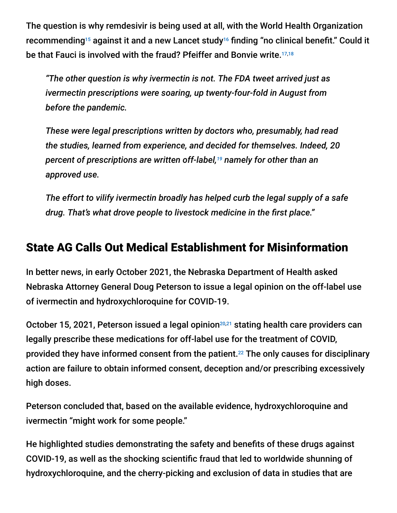The question is why remdesivir is being used at all, with the World Health Organization recommending<sup>15</sup> against it and a new Lancet study<sup>16</sup> finding "no clinical benefit." Could it be that Fauci is involved with the fraud? Pfeiffer and Bonvie write. 17,18

*"The other question is why ivermectin is not. The FDA tweet arrived just as ivermectin prescriptions were soaring, up twenty-four-fold in August from before the pandemic.*

*These were legal prescriptions written by doctors who, presumably, had read the studies, learned from experience, and decided for themselves. Indeed, 20* percent of prescriptions are written off-label,<sup>19</sup> namely for other than an *approved use.*

*The effort to vilify ivermectin broadly has helped curb the legal supply of a safe drug. That's what drove people to livestock medicine in the first place."*

#### State AG Calls Out Medical Establishment for Misinformation

In better news, in early October 2021, the Nebraska Department of Health asked Nebraska Attorney General Doug Peterson to issue a legal opinion on the off-label use of ivermectin and hydroxychloroquine for COVID-19.

October 15, 2021, Peterson issued a legal opinion<sup>20,21</sup> stating health care providers can legally prescribe these medications for off-label use for the treatment of COVID, provided they have informed consent from the patient.<sup>22</sup> The only causes for disciplinary action are failure to obtain informed consent, deception and/or prescribing excessively high doses.

Peterson concluded that, based on the available evidence, hydroxychloroquine and ivermectin "might work for some people."

He highlighted studies demonstrating the safety and benefits of these drugs against COVID-19, as well as the shocking scientific fraud that led to worldwide shunning of hydroxychloroquine, and the cherry-picking and exclusion of data in studies that are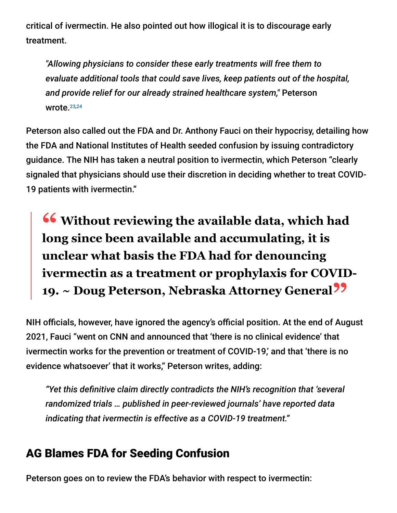critical of ivermectin. He also pointed out how illogical it is to discourage early treatment.

*"Allowing physicians to consider these early treatments will free them to evaluate additional tools that could save lives, keep patients out of the hospital, and provide relief for our already strained healthcare system,"* Peterson wrote.<sup>23,24</sup>

Peterson also called out the FDA and Dr. Anthony Fauci on their hypocrisy, detailing how the FDA and National Institutes of Health seeded confusion by issuing contradictory guidance. The NIH has taken a neutral position to ivermectin, which Peterson "clearly signaled that physicians should use their discretion in deciding whether to treat COVID-19 patients with ivermectin."

**<sup>66</sup>** Without reviewing the available data, which had<br>long since been available and accumulating it is **long since been available and accumulating, it is unclear what basis the FDA had for denouncing ivermectin as a treatment or prophylaxis for COVID-19. ~ Doug Peterson, Nebraska Attorney General"**

NIH officials, however, have ignored the agency's official position. At the end of August 2021, Fauci "went on CNN and announced that 'there is no clinical evidence' that ivermectin works for the prevention or treatment of COVID-19,' and that 'there is no evidence whatsoever' that it works," Peterson writes, adding:

*"Yet this definitive claim directly contradicts the NIH's recognition that 'several randomized trials … published in peer-reviewed journals' have reported data indicating that ivermectin is effective as a COVID-19 treatment."*

#### AG Blames FDA for Seeding Confusion

Peterson goes on to review the FDA's behavior with respect to ivermectin: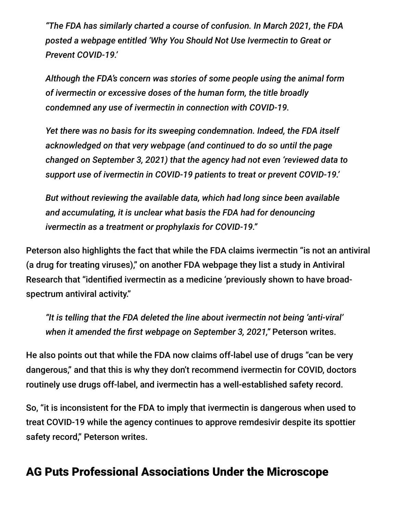*"The FDA has similarly charted a course of confusion. In March 2021, the FDA posted a webpage entitled 'Why You Should Not Use Ivermectin to Great or Prevent COVID-19.'*

*Although the FDA's concern was stories of some people using the animal form of ivermectin or excessive doses of the human form, the title broadly condemned any use of ivermectin in connection with COVID-19.*

*Yet there was no basis for its sweeping condemnation. Indeed, the FDA itself acknowledged on that very webpage (and continued to do so until the page changed on September 3, 2021) that the agency had not even 'reviewed data to support use of ivermectin in COVID-19 patients to treat or prevent COVID-19.'*

*But without reviewing the available data, which had long since been available and accumulating, it is unclear what basis the FDA had for denouncing ivermectin as a treatment or prophylaxis for COVID-19."*

Peterson also highlights the fact that while the FDA claims ivermectin "is not an antiviral (a drug for treating viruses)," on another FDA webpage they list a study in Antiviral Research that "identified ivermectin as a medicine 'previously shown to have broadspectrum antiviral activity."

*"It is telling that the FDA deleted the line about ivermectin not being 'anti-viral' when it amended the first webpage on September 3, 2021,"* Peterson writes.

He also points out that while the FDA now claims off-label use of drugs "can be very dangerous," and that this is why they don't recommend ivermectin for COVID, doctors routinely use drugs off-label, and ivermectin has a well-established safety record.

So, "it is inconsistent for the FDA to imply that ivermectin is dangerous when used to treat COVID-19 while the agency continues to approve remdesivir despite its spottier safety record," Peterson writes.

#### AG Puts Professional Associations Under the Microscope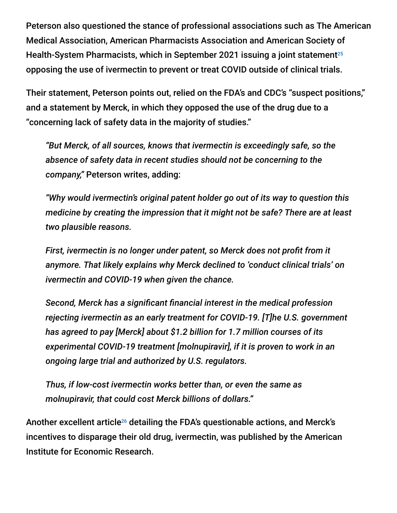Peterson also questioned the stance of professional associations such as The American Medical Association, American Pharmacists Association and American Society of Health-System Pharmacists, which in September 2021 issuing a joint statement 25 opposing the use of ivermectin to prevent or treat COVID outside of clinical trials.

Their statement, Peterson points out, relied on the FDA's and CDC's "suspect positions," and a statement by Merck, in which they opposed the use of the drug due to a "concerning lack of safety data in the majority of studies."

*"But Merck, of all sources, knows that ivermectin is exceedingly safe, so the absence of safety data in recent studies should not be concerning to the company,"* Peterson writes, adding:

*"Why would ivermectin's original patent holder go out of its way to question this medicine by creating the impression that it might not be safe? There are at least two plausible reasons.*

*First, ivermectin is no longer under patent, so Merck does not profit from it anymore. That likely explains why Merck declined to 'conduct clinical trials' on ivermectin and COVID-19 when given the chance.*

*Second, Merck has a significant financial interest in the medical profession rejecting ivermectin as an early treatment for COVID-19. [T]he U.S. government has agreed to pay [Merck] about \$1.2 billion for 1.7 million courses of its experimental COVID-19 treatment [molnupiravir], if it is proven to work in an ongoing large trial and authorized by U.S. regulators.*

*Thus, if low-cost ivermectin works better than, or even the same as molnupiravir, that could cost Merck billions of dollars."*

Another excellent article<sup>26</sup> detailing the FDA's questionable actions, and Merck's incentives to disparage their old drug, ivermectin, was published by the American Institute for Economic Research.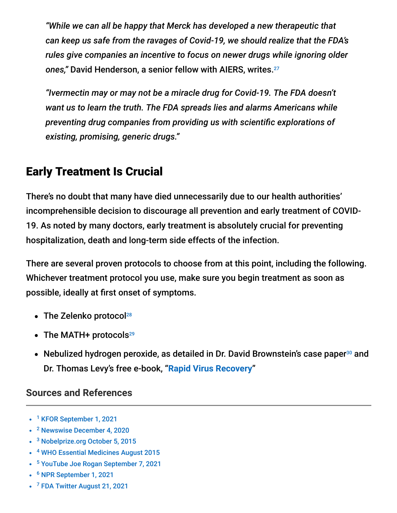*"While we can all be happy that Merck has developed a new therapeutic that can keep us safe from the ravages of Covid-19, we should realize that the FDA's rules give companies an incentive to focus on newer drugs while ignoring older ones,"* David Henderson, a senior fellow with AIERS, writes. 27

*"Ivermectin may or may not be a miracle drug for Covid-19. The FDA doesn't want us to learn the truth. The FDA spreads lies and alarms Americans while preventing drug companies from providing us with scientific explorations of existing, promising, generic drugs."*

## Early Treatment Is Crucial

There's no doubt that many have died unnecessarily due to our health authorities' incomprehensible decision to discourage all prevention and early treatment of COVID-19. As noted by many doctors, early treatment is absolutely crucial for preventing hospitalization, death and long-term side effects of the infection.

There are several proven protocols to choose from at this point, including the following. Whichever treatment protocol you use, make sure you begin treatment as soon as possible, ideally at first onset of symptoms.

- The Zelenko protocol<sup>28</sup>
- The MATH+ protocols 29
- Nebulized hydrogen peroxide, as detailed in Dr. David Brownstein's case paper<sup>30</sup> and Dr. Thomas Levy's free e-book, "**[Rapid Virus Recovery](https://rvr.medfoxpub.com/)**"

#### **Sources and References**

- <sup>1</sup> [KFOR September 1, 2021](https://kfor.com/news/local/patients-overdosing-on-ivermectin-backing-up-rural-oklahoma-hospitals-ambulances/)
- <sup>2</sup> [Newswise December 4, 2020](https://www.newswise.com/coronavirus/flccc-alliance-calls-on-national-health-authorities-to-immediately-review-medical-evidence-showing-the-efficacy-of-ivermectin-for-the-prevention-of-covid-19-and-as-an-early-outpatient-treatment)
- <sup>3</sup> [Nobelprize.org October 5, 2015](https://www.nobelprize.org/prizes/medicine/2015/press-release/)
- <sup>4</sup> [WHO Essential Medicines August 2015](https://www.who.int/selection_medicines/committees/expert/20/EML_2015_FINAL_amended_AUG2015.pdf)
- <sup>5</sup> [YouTube Joe Rogan September 7, 2021](https://www.youtube.com/watch?v=3O_7O9_nV10)
- <sup>6</sup> [NPR September 1, 2021](https://www.npr.org/2021/09/01/1033485152/joe-rogan-covid-ivermectin)
- <sup>7</sup> [FDA Twitter August 21, 2021](https://twitter.com/us_fda/status/1429050070243192839)